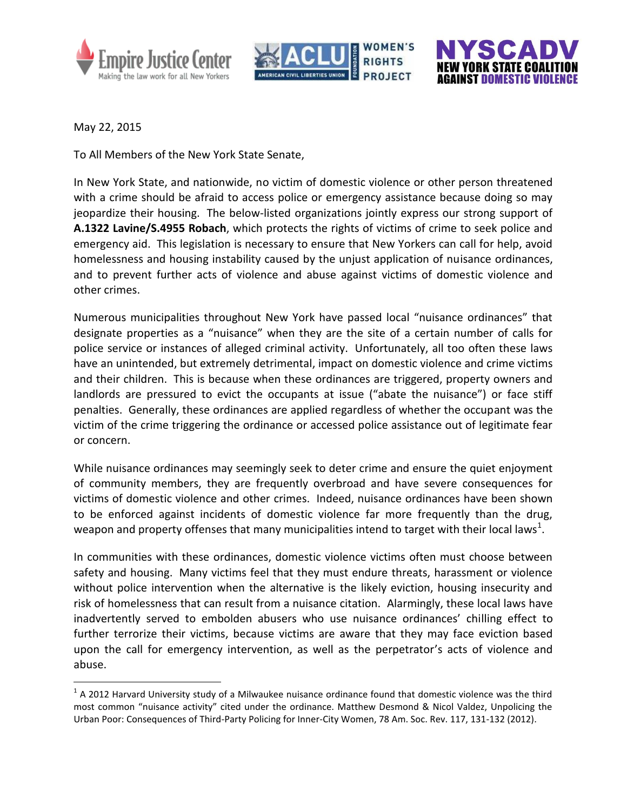





May 22, 2015

 $\overline{a}$ 

To All Members of the New York State Senate,

In New York State, and nationwide, no victim of domestic violence or other person threatened with a crime should be afraid to access police or emergency assistance because doing so may jeopardize their housing. The below-listed organizations jointly express our strong support of **A.1322 Lavine/S.4955 Robach**, which protects the rights of victims of crime to seek police and emergency aid. This legislation is necessary to ensure that New Yorkers can call for help, avoid homelessness and housing instability caused by the unjust application of nuisance ordinances, and to prevent further acts of violence and abuse against victims of domestic violence and other crimes.

Numerous municipalities throughout New York have passed local "nuisance ordinances" that designate properties as a "nuisance" when they are the site of a certain number of calls for police service or instances of alleged criminal activity. Unfortunately, all too often these laws have an unintended, but extremely detrimental, impact on domestic violence and crime victims and their children. This is because when these ordinances are triggered, property owners and landlords are pressured to evict the occupants at issue ("abate the nuisance") or face stiff penalties. Generally, these ordinances are applied regardless of whether the occupant was the victim of the crime triggering the ordinance or accessed police assistance out of legitimate fear or concern.

While nuisance ordinances may seemingly seek to deter crime and ensure the quiet enjoyment of community members, they are frequently overbroad and have severe consequences for victims of domestic violence and other crimes. Indeed, nuisance ordinances have been shown to be enforced against incidents of domestic violence far more frequently than the drug, weapon and property offenses that many municipalities intend to target with their local laws<sup>1</sup>.

In communities with these ordinances, domestic violence victims often must choose between safety and housing. Many victims feel that they must endure threats, harassment or violence without police intervention when the alternative is the likely eviction, housing insecurity and risk of homelessness that can result from a nuisance citation. Alarmingly, these local laws have inadvertently served to embolden abusers who use nuisance ordinances' chilling effect to further terrorize their victims, because victims are aware that they may face eviction based upon the call for emergency intervention, as well as the perpetrator's acts of violence and abuse.

 $<sup>1</sup>$  A 2012 Harvard University study of a Milwaukee nuisance ordinance found that domestic violence was the third</sup> most common "nuisance activity" cited under the ordinance. Matthew Desmond & Nicol Valdez, Unpolicing the Urban Poor: Consequences of Third-Party Policing for Inner-City Women, 78 Am. Soc. Rev. 117, 131-132 (2012).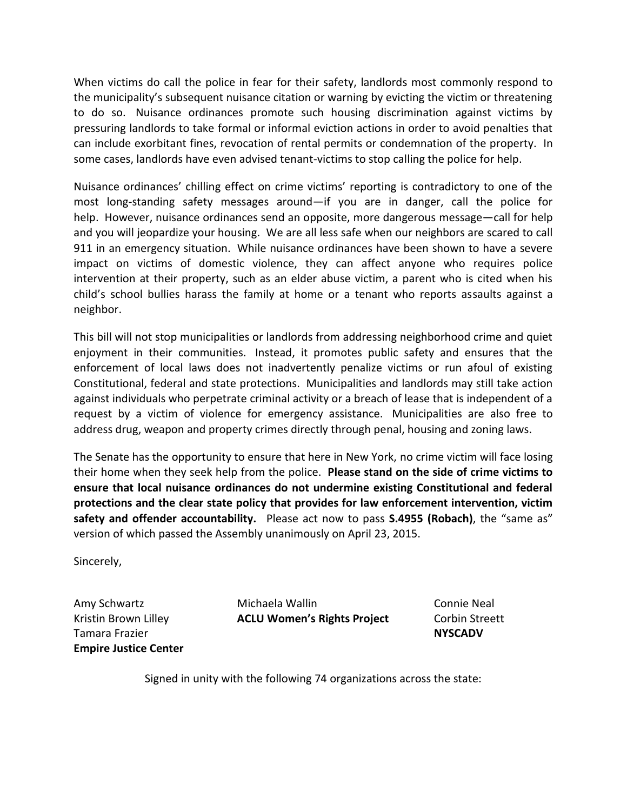When victims do call the police in fear for their safety, landlords most commonly respond to the municipality's subsequent nuisance citation or warning by evicting the victim or threatening to do so. Nuisance ordinances promote such housing discrimination against victims by pressuring landlords to take formal or informal eviction actions in order to avoid penalties that can include exorbitant fines, revocation of rental permits or condemnation of the property. In some cases, landlords have even advised tenant-victims to stop calling the police for help.

Nuisance ordinances' chilling effect on crime victims' reporting is contradictory to one of the most long-standing safety messages around—if you are in danger, call the police for help. However, nuisance ordinances send an opposite, more dangerous message—call for help and you will jeopardize your housing. We are all less safe when our neighbors are scared to call 911 in an emergency situation. While nuisance ordinances have been shown to have a severe impact on victims of domestic violence, they can affect anyone who requires police intervention at their property, such as an elder abuse victim, a parent who is cited when his child's school bullies harass the family at home or a tenant who reports assaults against a neighbor.

This bill will not stop municipalities or landlords from addressing neighborhood crime and quiet enjoyment in their communities. Instead, it promotes public safety and ensures that the enforcement of local laws does not inadvertently penalize victims or run afoul of existing Constitutional, federal and state protections. Municipalities and landlords may still take action against individuals who perpetrate criminal activity or a breach of lease that is independent of a request by a victim of violence for emergency assistance. Municipalities are also free to address drug, weapon and property crimes directly through penal, housing and zoning laws.

The Senate has the opportunity to ensure that here in New York, no crime victim will face losing their home when they seek help from the police. **Please stand on the side of crime victims to ensure that local nuisance ordinances do not undermine existing Constitutional and federal protections and the clear state policy that provides for law enforcement intervention, victim safety and offender accountability.** Please act now to pass **S.4955 (Robach)**, the "same as" version of which passed the Assembly unanimously on April 23, 2015.

Sincerely,

Amy Schwartz Kristin Brown Lilley Tamara Frazier **Empire Justice Center**

Michaela Wallin **ACLU Women's Rights Project** Connie Neal Corbin Streett **NYSCADV**

Signed in unity with the following 74 organizations across the state: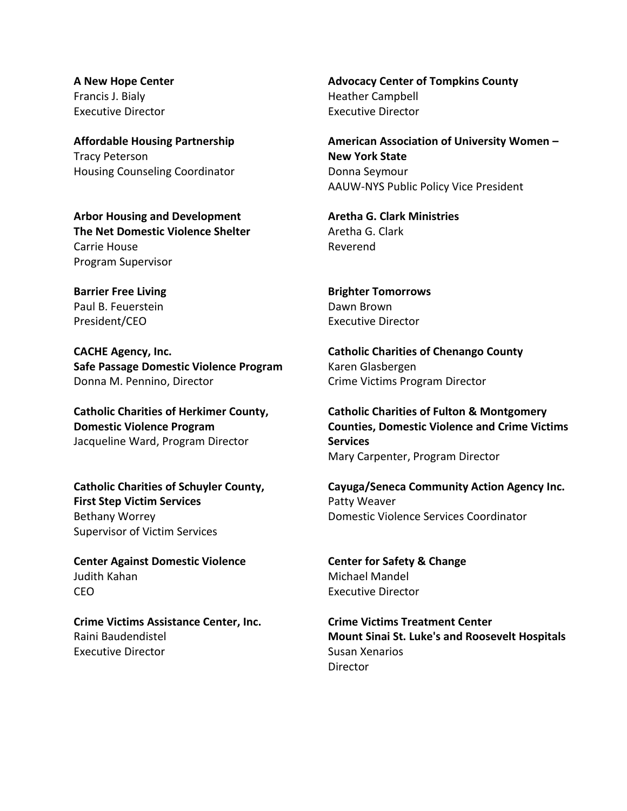**A New Hope Center** Francis J. Bialy Executive Director

**Affordable Housing Partnership** Tracy Peterson Housing Counseling Coordinator

**Arbor Housing and Development The Net Domestic Violence Shelter** Carrie House Program Supervisor

**Barrier Free Living** Paul B. Feuerstein President/CEO

**CACHE Agency, Inc. Safe Passage Domestic Violence Program** Donna M. Pennino, Director

**Catholic Charities of Herkimer County, Domestic Violence Program** Jacqueline Ward, Program Director

**Catholic Charities of Schuyler County, First Step Victim Services** Bethany Worrey Supervisor of Victim Services

**Center Against Domestic Violence** Judith Kahan CEO

**Crime Victims Assistance Center, Inc.** Raini Baudendistel Executive Director

**Advocacy Center of Tompkins County** Heather Campbell Executive Director

**American Association of University Women – New York State** Donna Seymour AAUW-NYS Public Policy Vice President

**Aretha G. Clark Ministries** Aretha G. Clark Reverend

**Brighter Tomorrows** Dawn Brown Executive Director

**Catholic Charities of Chenango County** Karen Glasbergen Crime Victims Program Director

**Catholic Charities of Fulton & Montgomery Counties, Domestic Violence and Crime Victims Services** Mary Carpenter, Program Director

**Cayuga/Seneca Community Action Agency Inc.** Patty Weaver Domestic Violence Services Coordinator

**Center for Safety & Change** Michael Mandel Executive Director

**Crime Victims Treatment Center Mount Sinai St. Luke's and Roosevelt Hospitals** Susan Xenarios **Director**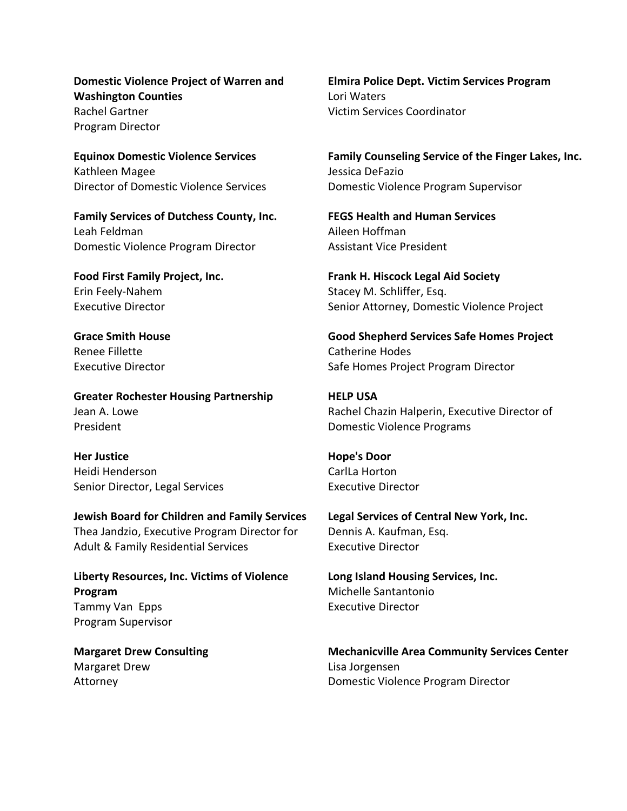**Domestic Violence Project of Warren and Washington Counties** Rachel Gartner Program Director

**Equinox Domestic Violence Services** Kathleen Magee Director of Domestic Violence Services

**Family Services of Dutchess County, Inc.** Leah Feldman Domestic Violence Program Director

**Food First Family Project, Inc.** Erin Feely-Nahem Executive Director

**Grace Smith House** Renee Fillette Executive Director

**Greater Rochester Housing Partnership** Jean A. Lowe President

**Her Justice** Heidi Henderson Senior Director, Legal Services

**Jewish Board for Children and Family Services** Thea Jandzio, Executive Program Director for Adult & Family Residential Services

**Liberty Resources, Inc. Victims of Violence Program** Tammy Van Epps Program Supervisor

**Margaret Drew Consulting** Margaret Drew Attorney

**Elmira Police Dept. Victim Services Program** Lori Waters Victim Services Coordinator

**Family Counseling Service of the Finger Lakes, Inc.** Jessica DeFazio Domestic Violence Program Supervisor

**FEGS Health and Human Services** Aileen Hoffman Assistant Vice President

**Frank H. Hiscock Legal Aid Society** Stacey M. Schliffer, Esq. Senior Attorney, Domestic Violence Project

**Good Shepherd Services Safe Homes Project** Catherine Hodes Safe Homes Project Program Director

**HELP USA** Rachel Chazin Halperin, Executive Director of Domestic Violence Programs

**Hope's Door** CarlLa Horton Executive Director

**Legal Services of Central New York, Inc.** Dennis A. Kaufman, Esq. Executive Director

**Long Island Housing Services, Inc.** Michelle Santantonio Executive Director

**Mechanicville Area Community Services Center** Lisa Jorgensen Domestic Violence Program Director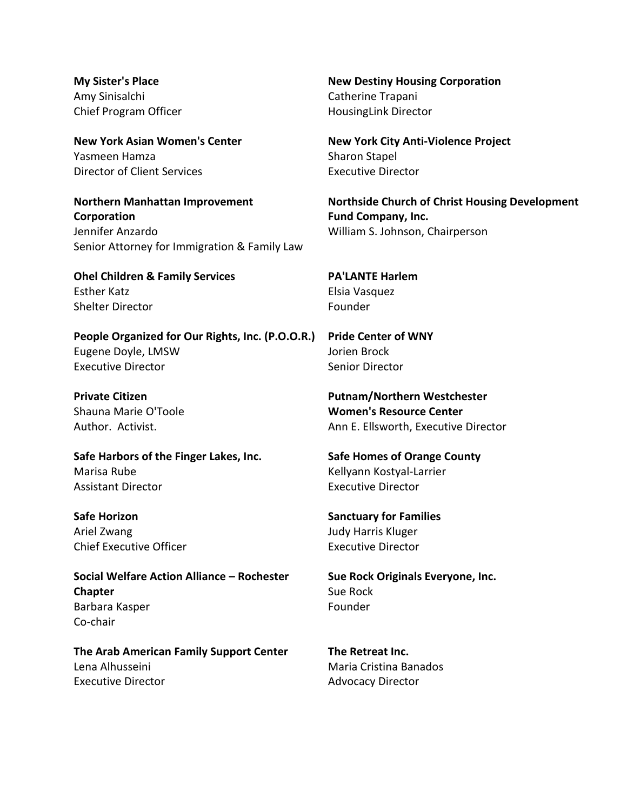**My Sister's Place** Amy Sinisalchi Chief Program Officer

**New York Asian Women's Center** Yasmeen Hamza Director of Client Services

**Northern Manhattan Improvement Corporation** Jennifer Anzardo Senior Attorney for Immigration & Family Law

**Ohel Children & Family Services** Esther Katz Shelter Director

**People Organized for Our Rights, Inc. (P.O.O.R.)** Eugene Doyle, LMSW Executive Director

**Private Citizen** Shauna Marie O'Toole Author. Activist.

**Safe Harbors of the Finger Lakes, Inc.** Marisa Rube Assistant Director

**Safe Horizon** Ariel Zwang Chief Executive Officer

**Social Welfare Action Alliance – Rochester Chapter** Barbara Kasper Co-chair

**The Arab American Family Support Center** Lena Alhusseini Executive Director

**New Destiny Housing Corporation** Catherine Trapani HousingLink Director

**New York City Anti-Violence Project** Sharon Stapel Executive Director

**Northside Church of Christ Housing Development Fund Company, Inc.** William S. Johnson, Chairperson

**PA'LANTE Harlem** Elsia Vasquez Founder

**Pride Center of WNY** Jorien Brock Senior Director

**Putnam/Northern Westchester Women's Resource Center** Ann E. Ellsworth, Executive Director

**Safe Homes of Orange County** Kellyann Kostyal-Larrier Executive Director

**Sanctuary for Families** Judy Harris Kluger Executive Director

**Sue Rock Originals Everyone, Inc.** Sue Rock Founder

**The Retreat Inc.** Maria Cristina Banados Advocacy Director